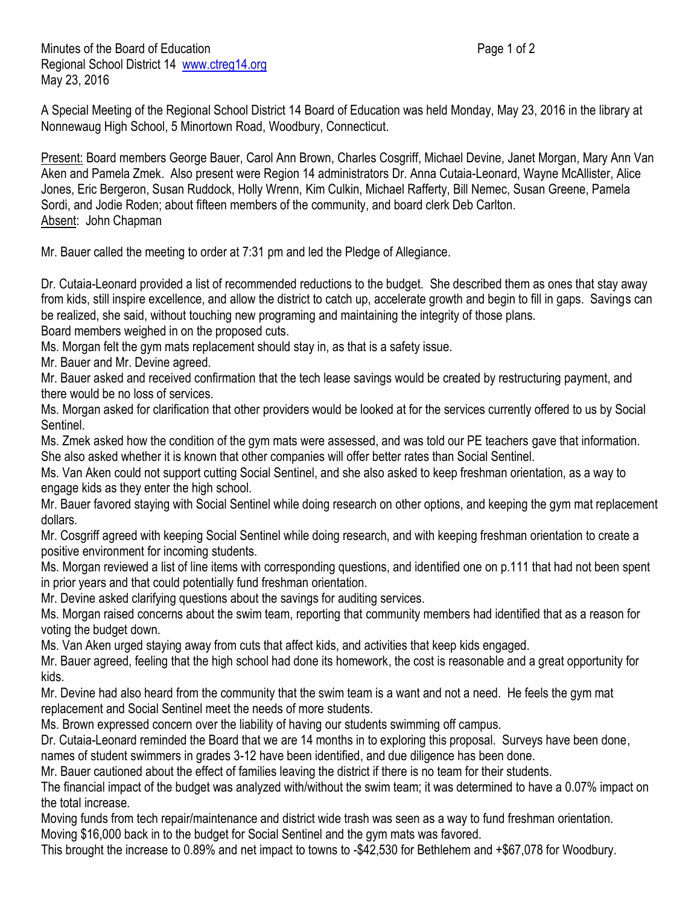Minutes of the Board of Education **Page 1 of 2** and 2 Regional School District 14 [www.ctreg14.org](http://www.ctreg14.org/) May 23, 2016

A Special Meeting of the Regional School District 14 Board of Education was held Monday, May 23, 2016 in the library at Nonnewaug High School, 5 Minortown Road, Woodbury, Connecticut.

Present: Board members George Bauer, Carol Ann Brown, Charles Cosgriff, Michael Devine, Janet Morgan, Mary Ann Van Aken and Pamela Zmek. Also present were Region 14 administrators Dr. Anna Cutaia-Leonard, Wayne McAllister, Alice Jones, Eric Bergeron, Susan Ruddock, Holly Wrenn, Kim Culkin, Michael Rafferty, Bill Nemec, Susan Greene, Pamela Sordi, and Jodie Roden; about fifteen members of the community, and board clerk Deb Carlton. Absent: John Chapman

Mr. Bauer called the meeting to order at 7:31 pm and led the Pledge of Allegiance.

Dr. Cutaia-Leonard provided a list of recommended reductions to the budget. She described them as ones that stay away from kids, still inspire excellence, and allow the district to catch up, accelerate growth and begin to fill in gaps. Savings can be realized, she said, without touching new programing and maintaining the integrity of those plans.

Board members weighed in on the proposed cuts.

Ms. Morgan felt the gym mats replacement should stay in, as that is a safety issue.

Mr. Bauer and Mr. Devine agreed.

Mr. Bauer asked and received confirmation that the tech lease savings would be created by restructuring payment, and there would be no loss of services.

Ms. Morgan asked for clarification that other providers would be looked at for the services currently offered to us by Social Sentinel.

Ms. Zmek asked how the condition of the gym mats were assessed, and was told our PE teachers gave that information. She also asked whether it is known that other companies will offer better rates than Social Sentinel.

Ms. Van Aken could not support cutting Social Sentinel, and she also asked to keep freshman orientation, as a way to engage kids as they enter the high school.

Mr. Bauer favored staying with Social Sentinel while doing research on other options, and keeping the gym mat replacement dollars.

Mr. Cosgriff agreed with keeping Social Sentinel while doing research, and with keeping freshman orientation to create a positive environment for incoming students.

Ms. Morgan reviewed a list of line items with corresponding questions, and identified one on p.111 that had not been spent in prior years and that could potentially fund freshman orientation.

Mr. Devine asked clarifying questions about the savings for auditing services.

Ms. Morgan raised concerns about the swim team, reporting that community members had identified that as a reason for voting the budget down.

Ms. Van Aken urged staying away from cuts that affect kids, and activities that keep kids engaged.

Mr. Bauer agreed, feeling that the high school had done its homework, the cost is reasonable and a great opportunity for kids.

Mr. Devine had also heard from the community that the swim team is a want and not a need. He feels the gym mat replacement and Social Sentinel meet the needs of more students.

Ms. Brown expressed concern over the liability of having our students swimming off campus.

Dr. Cutaia-Leonard reminded the Board that we are 14 months in to exploring this proposal. Surveys have been done, names of student swimmers in grades 3-12 have been identified, and due diligence has been done.

Mr. Bauer cautioned about the effect of families leaving the district if there is no team for their students.

The financial impact of the budget was analyzed with/without the swim team; it was determined to have a 0.07% impact on the total increase.

Moving funds from tech repair/maintenance and district wide trash was seen as a way to fund freshman orientation. Moving \$16,000 back in to the budget for Social Sentinel and the gym mats was favored.

This brought the increase to 0.89% and net impact to towns to -\$42,530 for Bethlehem and +\$67,078 for Woodbury.